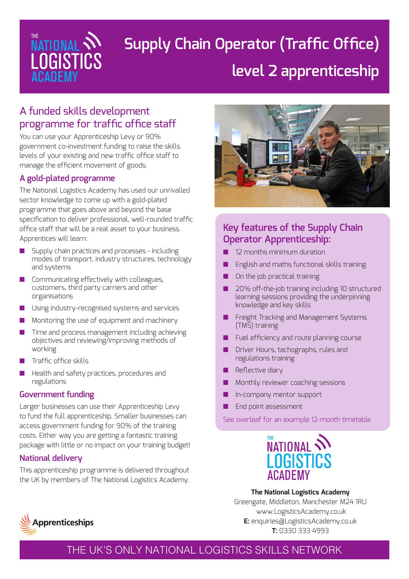

# **Supply Chain Operator (Traffic Office) level 2 apprenticeship**

## A funded skills development programme for traffic office staff

You can use your Apprenticeship Levy or 90% government co-investment funding to raise the skills levels of your existing and new traffic office staff to manage the efficient movement of goods.

### **A gold-plated programme**

The National Logistics Academy has used our unrivalled sector knowledge to come up with a gold-plated programme that goes above and beyond the base specification to deliver professional, well-rounded traffic office staff that will be a real asset to your business. Apprentices will learn:

- Supply chain practices and processes including modes of transport, industry structures, technology and systems
- Communicating effectively with colleagues, customers, third party carriers and other organisations
- Using industry-recognised systems and services
- Monitoring the use of equipment and machinery
- Time and process management including achieving objectives and reviewing/improving methods of working
- Traffic office skills
- Health and safety practices, procedures and regulations

#### **Government funding**

Larger businesses can use their Apprenticeship Levy to fund the full apprenticeship. Smaller businesses can access government funding for 90% of the training costs. Either way you are getting a fantastic training package with little or no impact on your training budget!

#### **National delivery**

This apprenticeship programme is delivered throughout the UK by members of The National Logistics Academy.



### **Key features of the Supply Chain Operator Apprenticeship:**

- 12 months minimum duration
- English and maths functional skills training
- On the job practical training
- 20% off-the-job training including 10 structured learning sessions providing the underpinning knowledge and key skills
- Freight Tracking and Management Systems (TMS) training
- Fuel efficiency and route planning course
- Driver Hours, tachographs, rules and regulations training
- Reflective diary
- Monthly reviewer coaching sessions
- In-company mentor support
- End point assessment

See overleaf for an example 12-month timetable



**The National Logistics Academy** Greengate, Middleton, Manchester M24 1RU www.LogisticsAcademy.co.uk **E:** enquiries@LogisticsAcademy.co.uk **T:** 0330 333 4993



THE UK'S ONLY NATIONAL LOGISTICS SKILLS NETWORK